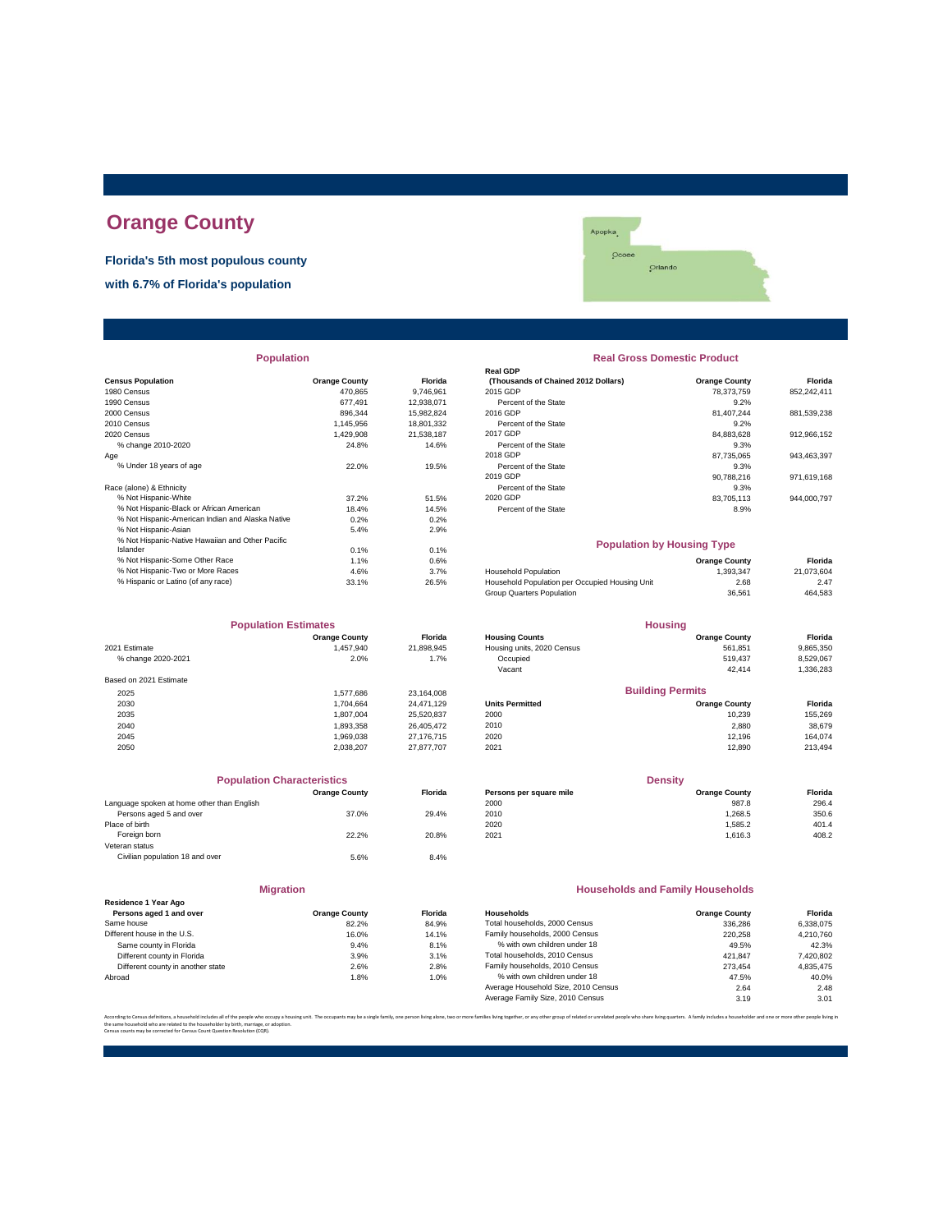# **Orange County**

**Florida's 5th most populous county**

**with 6.7% of Florida's population**



| <b>Population</b>                                |                      |                | <b>Real Gross Domestic Product</b>             |                      |             |
|--------------------------------------------------|----------------------|----------------|------------------------------------------------|----------------------|-------------|
|                                                  |                      |                | <b>Real GDP</b>                                |                      |             |
| <b>Census Population</b>                         | <b>Orange County</b> | <b>Florida</b> | (Thousands of Chained 2012 Dollars)            | <b>Orange County</b> | Florida     |
| 1980 Census                                      | 470.865              | 9,746,961      | 2015 GDP                                       | 78.373.759           | 852,242,411 |
| 1990 Census                                      | 677.491              | 12,938,071     | Percent of the State                           | 9.2%                 |             |
| 2000 Census                                      | 896,344              | 15,982,824     | 2016 GDP                                       | 81.407.244           | 881,539,238 |
| 2010 Census                                      | 1,145,956            | 18,801,332     | Percent of the State                           | 9.2%                 |             |
| 2020 Census                                      | 1,429,908            | 21,538,187     | 2017 GDP                                       | 84,883,628           | 912,966,152 |
| % change 2010-2020                               | 24.8%                | 14.6%          | Percent of the State                           | 9.3%                 |             |
| Age                                              |                      |                | 2018 GDP                                       | 87,735,065           | 943,463,397 |
| % Under 18 years of age                          | 22.0%                | 19.5%          | Percent of the State                           | 9.3%                 |             |
|                                                  |                      |                | 2019 GDP                                       | 90,788,216           | 971,619,168 |
| Race (alone) & Ethnicity                         |                      |                | Percent of the State                           | 9.3%                 |             |
| % Not Hispanic-White                             | 37.2%                | 51.5%          | 2020 GDP                                       | 83,705,113           | 944,000,797 |
| % Not Hispanic-Black or African American         | 18.4%                | 14.5%          | Percent of the State                           | 8.9%                 |             |
| % Not Hispanic-American Indian and Alaska Native | 0.2%                 | 0.2%           |                                                |                      |             |
| % Not Hispanic-Asian                             | 5.4%                 | 2.9%           |                                                |                      |             |
| % Not Hispanic-Native Hawaiian and Other Pacific |                      |                | <b>Population by Housing Type</b>              |                      |             |
| Islander                                         | 0.1%                 | 0.1%           |                                                |                      |             |
| % Not Hispanic-Some Other Race                   | 1.1%                 | 0.6%           |                                                | <b>Orange County</b> | Florida     |
| % Not Hispanic-Two or More Races                 | 4.6%                 | 3.7%           | Household Population                           | 1,393,347            | 21,073,604  |
| % Hispanic or Latino (of any race)               | 33.1%                | 26.5%          | Household Population per Occupied Housing Unit | 2.68                 | 2.47        |

| <b>Population Estimates</b> |                      |                | <b>Housing</b>             |                         |           |
|-----------------------------|----------------------|----------------|----------------------------|-------------------------|-----------|
|                             | <b>Orange County</b> | <b>Florida</b> | <b>Housing Counts</b>      | <b>Orange County</b>    | Florida   |
| 2021 Estimate               | 1,457,940            | 21,898,945     | Housing units, 2020 Census | 561.851                 | 9,865,350 |
| % change 2020-2021          | 2.0%                 | 1.7%           | Occupied                   | 519.437                 | 8,529,067 |
|                             |                      |                | Vacant                     | 42.414                  | 1,336,283 |
| Based on 2021 Estimate      |                      |                |                            |                         |           |
| 2025                        | 1.577.686            | 23,164,008     |                            | <b>Building Permits</b> |           |
| 2030                        | 1.704.664            | 24.471.129     | <b>Units Permitted</b>     | <b>Orange County</b>    | Florida   |
| 2035                        | 1.807.004            | 25,520,837     | 2000                       | 10.239                  | 155,269   |
| 2040                        | 1,893,358            | 26.405.472     | 2010                       | 2,880                   | 38,679    |
| 2045                        | 1.969.038            | 27,176,715     | 2020                       | 12.196                  | 164.074   |
| 2050                        | 2.038.207            | 27,877,707     | 2021                       | 12,890                  | 213,494   |

| <b>Population Characteristics</b>          |                      |         | <b>Density</b>          |                      |         |
|--------------------------------------------|----------------------|---------|-------------------------|----------------------|---------|
|                                            | <b>Orange County</b> | Florida | Persons per square mile | <b>Orange County</b> | Florida |
| Language spoken at home other than English |                      |         | 2000                    | 987.8                | 296.4   |
| Persons aged 5 and over                    | 37.0%                | 29.4%   | 2010                    | 1.268.5              | 350.6   |
| Place of birth                             |                      |         | 2020                    | 1.585.2              | 401.4   |
| Foreign born                               | 22.2%                | 20.8%   | 2021                    | 1.616.3              | 408.2   |
| Veteran status                             |                      |         |                         |                      |         |
| Civilian population 18 and over            | 5.6%                 | 8.4%    |                         |                      |         |
|                                            |                      |         |                         |                      |         |

|                                   | <b>Migration</b>     |               |
|-----------------------------------|----------------------|---------------|
| Residence 1 Year Ago              |                      |               |
| Persons aged 1 and over           | <b>Orange County</b> | <b>Florid</b> |
| Same house                        | 82.2%                | 84.9%         |
| Different house in the U.S.       | 16.0%                | 14.19         |
| Same county in Florida            | 9.4%                 | 8.1%          |
| Different county in Florida       | 3.9%                 | 3.1%          |
| Different county in another state | 2.6%                 | 2.8%          |
| Abroad                            | 1.8%                 | 1.0%          |

| <b>Population</b>                                |                      |                | <b>Real Gross Domestic Product</b><br><b>Real GDP</b>                       |                      |                 |  |
|--------------------------------------------------|----------------------|----------------|-----------------------------------------------------------------------------|----------------------|-----------------|--|
|                                                  |                      |                |                                                                             |                      |                 |  |
| <b>sus Population</b>                            | <b>Orange County</b> | <b>Florida</b> | (Thousands of Chained 2012 Dollars)                                         | <b>Orange County</b> | Florida         |  |
| 0 Census                                         | 470.865              | 9,746,961      | 2015 GDP                                                                    | 78,373,759           | 852,242,411     |  |
| 0 Census                                         | 677,491              | 12,938,071     | Percent of the State                                                        | 9.2%                 |                 |  |
| 0 Census                                         | 896,344              | 15,982,824     | 2016 GDP                                                                    | 81,407,244           | 881,539,238     |  |
| 0 Census                                         | 1.145.956            | 18,801,332     | Percent of the State                                                        | 9.2%                 |                 |  |
| 0 Census                                         | 1.429.908            | 21,538,187     | 2017 GDP                                                                    | 84,883,628           | 912,966,152     |  |
| % change 2010-2020                               | 24.8%                | 14.6%          | Percent of the State                                                        | 9.3%                 |                 |  |
|                                                  |                      |                | 2018 GDP                                                                    | 87,735,065           | 943,463,397     |  |
| % Under 18 years of age                          | 22.0%                | 19.5%          | Percent of the State                                                        | 9.3%                 |                 |  |
|                                                  |                      |                | 2019 GDP                                                                    | 90,788,216           | 971,619,168     |  |
| e (alone) & Ethnicity                            |                      |                | Percent of the State                                                        | 9.3%                 |                 |  |
| % Not Hispanic-White                             | 37.2%                | 51.5%          | 2020 GDP                                                                    | 83,705,113           | 944,000,797     |  |
| % Not Hispanic-Black or African American         | 18.4%                | 14.5%          | Percent of the State                                                        | 8.9%                 |                 |  |
| % Not Hispanic-American Indian and Alaska Native | 0.2%                 | 0.2%           |                                                                             |                      |                 |  |
| % Not Hispanic-Asian                             | 5.4%                 | 2.9%           |                                                                             |                      |                 |  |
| % Not Hispanic-Native Hawaiian and Other Pacific |                      |                | <b>Population by Housing Type</b>                                           |                      |                 |  |
| Islander                                         | 0.1%                 | 0.1%           |                                                                             |                      |                 |  |
| % Not Hispanic-Some Other Race                   | 1.1%                 | 0.6%           |                                                                             | <b>Orange County</b> | Florida         |  |
| % Not Hispanic-Two or More Races                 | 4.6%                 | 3.7%           | <b>Household Population</b>                                                 | 1,393,347            | 21,073,604      |  |
| % Hispanic or Latino (of any race)               | 33.1%                | 26.5%          | Household Population per Occupied Housing Unit<br>Group Quarters Population | 2.68<br>36.561       | 2.47<br>464.583 |  |
| <b>Population Estimates</b>                      |                      |                | <b>Housing</b>                                                              |                      |                 |  |
|                                                  | <b>Orange County</b> | <b>Florida</b> | <b>Housing Counts</b>                                                       | <b>Orange County</b> | Florida         |  |
| 1 Estimate                                       | 1,457,940            | 21.898.945     | Housing units, 2020 Census                                                  | 561,851              | 9,865,350       |  |
| % change 2020-2021                               | 2.0%                 | 1.7%           | Occupied                                                                    | 519.437              | 8.529.067       |  |
|                                                  |                      |                | Vacant                                                                      | 42.414               | 1.336.283       |  |
| ed on 2021 Estimate                              |                      |                |                                                                             |                      |                 |  |
| 2025                                             | 1.577.686            | 23,164,008     | <b>Building Permits</b>                                                     |                      |                 |  |
| 2030                                             | 1,704,664            | 24,471,129     | <b>Units Permitted</b>                                                      | <b>Orange County</b> | Florida         |  |
| 2035                                             | 1,807,004            | 25,520,837     | 2000                                                                        | 10,239               | 155,269         |  |
| 2040                                             | 1,893,358            | 26,405,472     | 2010                                                                        | 2.880                | 38.679          |  |
| 2045                                             | 1,969,038            | 27,176,715     | 2020                                                                        | 12,196               | 164,074         |  |
| 2050                                             | 2,038,207            | 27,877,707     | 2021                                                                        | 12,890               | 213,494         |  |
|                                                  |                      |                |                                                                             |                      |                 |  |
| <b>Population Characteristics</b>                |                      |                | <b>Density</b>                                                              |                      |                 |  |
|                                                  | <b>Orange County</b> | <b>Florida</b> | Persons per square mile                                                     | <b>Orange County</b> | Florida         |  |
| quage spoken at home other than English          |                      |                | 2000                                                                        | 987.8                | 296.4           |  |

### **Households and Family Households**

| Residence 1 Year Ago              |                      |                |                                     |                      |           |
|-----------------------------------|----------------------|----------------|-------------------------------------|----------------------|-----------|
| Persons aged 1 and over           | <b>Orange County</b> | <b>Florida</b> | Households                          | <b>Orange County</b> | Florida   |
| Same house                        | 82.2%                | 84.9%          | Total households, 2000 Census       | 336.286              | 6.338.075 |
| Different house in the U.S.       | 16.0%                | 14.1%          | Family households, 2000 Census      | 220.258              | 4.210.760 |
| Same county in Florida            | 9.4%                 | 8.1%           | % with own children under 18        | 49.5%                | 42.3%     |
| Different county in Florida       | 3.9%                 | 3.1%           | Total households, 2010 Census       | 421.847              | 7,420,802 |
| Different county in another state | 2.6%                 | 2.8%           | Family households, 2010 Census      | 273.454              | 4.835.475 |
| Abroad                            | 1.8%                 | 1.0%           | % with own children under 18        | 47.5%                | 40.0%     |
|                                   |                      |                | Average Household Size, 2010 Census | 2.64                 | 2.48      |
|                                   |                      |                | Average Family Size, 2010 Census    | 3.19                 | 3.01      |
|                                   |                      |                |                                     |                      |           |

According to Census definitions, a household includes all of the people who occupy a housing unit. The occupants may be a single family, one person living back, two or more families living together, or any other group of r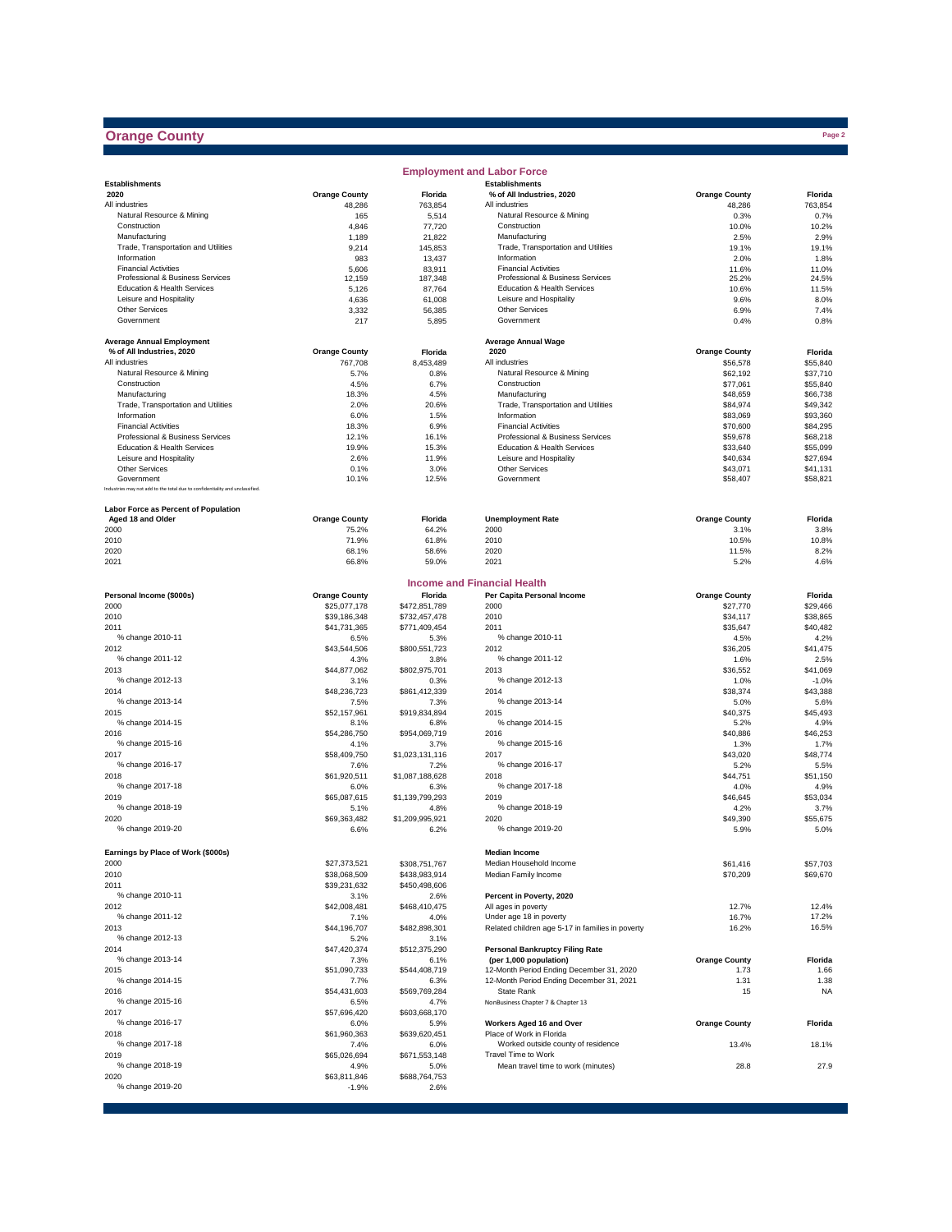## **Orange County**

 $\sim$ 

|                                                                              |                      |                  | <b>Employment and Labor Force</b>                         |                      |               |
|------------------------------------------------------------------------------|----------------------|------------------|-----------------------------------------------------------|----------------------|---------------|
| <b>Establishments</b>                                                        |                      |                  | <b>Establishments</b>                                     |                      |               |
| 2020                                                                         | <b>Orange County</b> | Florida          | % of All Industries, 2020                                 | <b>Orange County</b> | Florida       |
| All industries                                                               | 48,286               | 763,854          | All industries                                            | 48,286               | 763,854       |
| Natural Resource & Mining                                                    | 165                  | 5,514            | Natural Resource & Mining                                 | 0.3%                 | 0.7%          |
| Construction                                                                 | 4,846                | 77,720           | Construction                                              | 10.0%                | 10.2%         |
| Manufacturing                                                                | 1,189                | 21,822           | Manufacturing                                             | 2.5%                 | 2.9%          |
| Trade, Transportation and Utilities<br>Information                           | 9,214<br>983         | 145,853          | Trade, Transportation and Utilities<br>Information        | 19.1%<br>2.0%        | 19.1%         |
| <b>Financial Activities</b>                                                  | 5,606                | 13,437<br>83,911 | <b>Financial Activities</b>                               | 11.6%                | 1.8%<br>11.0% |
| Professional & Business Services                                             | 12,159               | 187,348          | Professional & Business Services                          | 25.2%                | 24.5%         |
| Education & Health Services                                                  | 5,126                | 87,764           | Education & Health Services                               | 10.6%                | 11.5%         |
| Leisure and Hospitality                                                      | 4,636                | 61,008           | Leisure and Hospitality                                   | 9.6%                 | 8.0%          |
| <b>Other Services</b>                                                        | 3,332                | 56,385           | <b>Other Services</b>                                     | 6.9%                 | 7.4%          |
| Government                                                                   | 217                  | 5,895            | Government                                                | 0.4%                 | 0.8%          |
|                                                                              |                      |                  |                                                           |                      |               |
| <b>Average Annual Employment</b>                                             |                      |                  | <b>Average Annual Wage</b>                                |                      |               |
| % of All Industries, 2020                                                    | <b>Orange County</b> | Florida          | 2020                                                      | <b>Orange County</b> | Florida       |
| All industries                                                               | 767,708              | 8,453,489        | All industries                                            | \$56,578             | \$55,840      |
| Natural Resource & Mining                                                    | 5.7%                 | 0.8%             | Natural Resource & Mining                                 | \$62,192             | \$37,710      |
| Construction                                                                 | 4.5%                 | 6.7%             | Construction                                              | \$77,061             | \$55,840      |
| Manufacturing                                                                | 18.3%                | 4.5%             | Manufacturing                                             | \$48,659             | \$66,738      |
| Trade, Transportation and Utilities                                          | 2.0%                 | 20.6%            | Trade, Transportation and Utilities                       | \$84,974             | \$49,342      |
| Information                                                                  | 6.0%                 | 1.5%             | Information                                               | \$83,069             | \$93,360      |
| <b>Financial Activities</b>                                                  | 18.3%                | 6.9%             | <b>Financial Activities</b>                               | \$70,600             | \$84,295      |
| Professional & Business Services                                             | 12.1%                | 16.1%            | Professional & Business Services                          | \$59,678             | \$68,218      |
| Education & Health Services                                                  | 19.9%                | 15.3%            | Education & Health Services                               | \$33,640             | \$55,099      |
| Leisure and Hospitality                                                      | 2.6%                 | 11.9%            | Leisure and Hospitality                                   | \$40,634             | \$27,694      |
| <b>Other Services</b>                                                        | 0.1%                 | 3.0%             | Other Services                                            | \$43,071             | \$41,131      |
| Government                                                                   | 10.1%                | 12.5%            | Government                                                | \$58,407             | \$58,821      |
| Industries may not add to the total due to confidentiality and unclassified. |                      |                  |                                                           |                      |               |
|                                                                              |                      |                  |                                                           |                      |               |
| Labor Force as Percent of Population<br>Aged 18 and Older                    | <b>Orange County</b> | Florida          | <b>Unemployment Rate</b>                                  | <b>Orange County</b> | Florida       |
| 2000                                                                         | 75.2%                | 64.2%            | 2000                                                      | 3.1%                 | 3.8%          |
| 2010                                                                         | 71.9%                | 61.8%            | 2010                                                      | 10.5%                | 10.8%         |
|                                                                              |                      | 58.6%            | 2020                                                      |                      | 8.2%          |
| 2020<br>2021                                                                 | 68.1%<br>66.8%       | 59.0%            | 2021                                                      | 11.5%<br>5.2%        | 4.6%          |
|                                                                              |                      |                  |                                                           |                      |               |
|                                                                              |                      |                  | <b>Income and Financial Health</b>                        |                      |               |
| Personal Income (\$000s)                                                     | <b>Orange County</b> | Florida          | Per Capita Personal Income                                | <b>Orange County</b> | Florida       |
| 2000                                                                         | \$25,077,178         | \$472,851,789    | 2000                                                      | \$27,770             | \$29,466      |
| 2010                                                                         | \$39,186,348         | \$732,457,478    | 2010                                                      | \$34,117             | \$38,865      |
| 2011                                                                         | \$41,731,365         | \$771,409,454    | 2011                                                      | \$35,647             | \$40,482      |
| % change 2010-11                                                             | 6.5%                 | 5.3%             | % change 2010-11                                          | 4.5%                 | 4.2%          |
| 2012                                                                         | \$43,544,506         | \$800,551,723    | 2012                                                      | \$36,205             | \$41,475      |
| % change 2011-12                                                             | 4.3%                 | 3.8%             | % change 2011-12                                          | 1.6%                 | 2.5%          |
| 2013                                                                         | \$44,877,062         | \$802,975,701    | 2013                                                      | \$36,552             | \$41,069      |
| % change 2012-13                                                             | 3.1%                 | 0.3%             | % change 2012-13                                          | 1.0%                 | $-1.0%$       |
| 2014                                                                         | \$48,236,723         | \$861,412,339    | 2014                                                      | \$38,374             | \$43,388      |
| % change 2013-14                                                             | 7.5%                 | 7.3%             | % change 2013-14                                          | 5.0%                 | 5.6%          |
| 2015                                                                         | \$52,157,961         | \$919,834,894    | 2015                                                      | \$40,375             | \$45,493      |
| % change 2014-15                                                             | 8.1%                 | 6.8%             | % change 2014-15                                          | 5.2%                 | 4.9%          |
| 2016                                                                         | \$54,286,750         | \$954,069,719    | 2016                                                      | \$40,886             | \$46,253      |
| % change 2015-16                                                             | 4.1%                 | 3.7%             | % change 2015-16                                          | 1.3%                 | 1.7%          |
| 2017                                                                         | \$58,409,750         | \$1,023,131,116  | 2017                                                      | \$43,020             | \$48,774      |
| % change 2016-17                                                             | 7.6%                 | 7.2%             | % change 2016-17                                          | 5.2%                 | 5.5%          |
| 2018                                                                         | \$61,920,511         | \$1,087,188,628  | 2018                                                      | \$44.751             | \$51.150      |
| % change 2017-18                                                             | 6.0%                 | 6.3%             | % change 2017-18                                          | 4.0%                 | 4.9%          |
| 2019                                                                         | \$65,087,615         | \$1,139,799,293  | 2019                                                      | \$46,645             | \$53,034      |
| % change 2018-19                                                             | 5.1%                 | 4.8%             | % change 2018-19                                          | 4.2%                 | 3.7%          |
| 2020                                                                         | \$69,363,482         | \$1,209,995,921  | 2020                                                      | \$49,390             | \$55,675      |
| % change 2019-20                                                             | 6.6%                 | 6.2%             | % change 2019-20                                          | 5.9%                 | 5.0%          |
|                                                                              |                      |                  |                                                           |                      |               |
| Earnings by Place of Work (\$000s)                                           |                      |                  | <b>Median Income</b>                                      |                      |               |
| 2000                                                                         | \$27,373,521         | \$308,751,767    | Median Household Income                                   | \$61,416             | \$57,703      |
| 2010                                                                         | \$38,068,509         | \$438,983,914    | Median Family Income                                      | \$70,209             | \$69,670      |
| 2011                                                                         | \$39,231,632         | \$450,498,606    |                                                           |                      |               |
| % change 2010-11                                                             | 3.1%                 | 2.6%             | Percent in Poverty, 2020                                  |                      |               |
| 2012                                                                         | \$42,008,481         | \$468,410,475    | All ages in poverty                                       | 12.7%                | 12.4%         |
| % change 2011-12                                                             | 7.1%                 | 4.0%             | Under age 18 in poverty                                   | 16.7%                | 17.2%         |
| 2013                                                                         | \$44,196,707         | \$482,898,301    | Related children age 5-17 in families in poverty          | 16.2%                | 16.5%         |
| % change 2012-13                                                             | 5.2%                 | 3.1%             |                                                           |                      |               |
| 2014                                                                         | \$47,420,374         | \$512,375,290    | <b>Personal Bankruptcy Filing Rate</b>                    |                      |               |
| % change 2013-14                                                             | 7.3%                 | 6.1%             | (per 1,000 population)                                    | <b>Orange County</b> | Florida       |
| 2015                                                                         | \$51,090,733         | \$544,408,719    | 12-Month Period Ending December 31, 2020                  | 1.73                 | 1.66          |
| % change 2014-15                                                             | 7.7%                 | 6.3%             | 12-Month Period Ending December 31, 2021                  | 1.31                 | 1.38          |
| 2016                                                                         | \$54,431,603         | \$569,769,284    | State Rank                                                | 15                   | <b>NA</b>     |
| % change 2015-16                                                             | 6.5%                 | 4.7%             | NonBusiness Chapter 7 & Chapter 13                        |                      |               |
| 2017                                                                         | \$57,696,420         | \$603,668,170    |                                                           |                      |               |
| % change 2016-17                                                             | 6.0%                 | 5.9%             | Workers Aged 16 and Over                                  | <b>Orange County</b> | Florida       |
| 2018                                                                         | \$61,960,363         | \$639,620,451    | Place of Work in Florida                                  |                      |               |
| % change 2017-18                                                             | 7.4%                 | 6.0%             | Worked outside county of residence<br>Travel Time to Work | 13.4%                | 18.1%         |
| 2019                                                                         | \$65,026,694         | \$671,553,148    |                                                           |                      |               |
| % change 2018-19                                                             | 4.9%                 | 5.0%             | Mean travel time to work (minutes)                        | 28.8                 | 27.9          |
| 2020                                                                         | \$63,811,846         | \$688,764,753    |                                                           |                      |               |
| % change 2019-20                                                             | $-1.9%$              | 2.6%             |                                                           |                      |               |